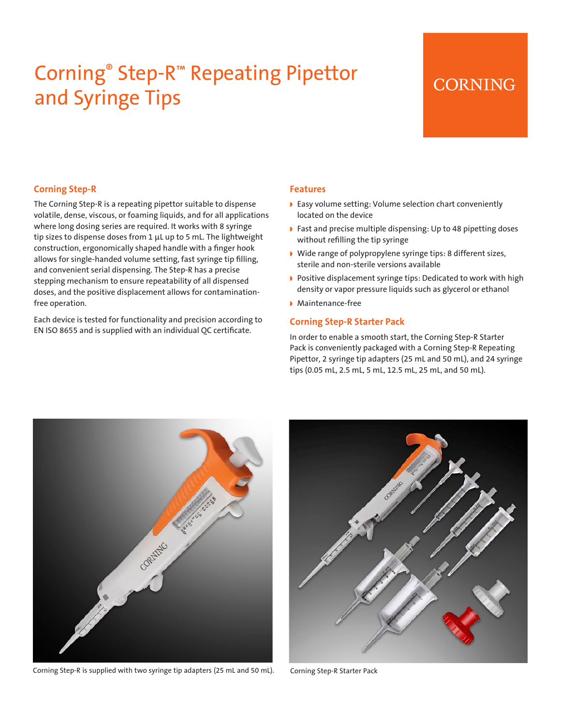# Corning® Step-R™ Repeating Pipettor and Syringe Tips

### **CORNING**

#### **Corning Step-R**

The Corning Step-R is a repeating pipettor suitable to dispense volatile, dense, viscous, or foaming liquids, and for all applications where long dosing series are required. It works with 8 syringe tip sizes to dispense doses from 1 μL up to 5 mL. The lightweight construction, ergonomically shaped handle with a finger hook allows for single-handed volume setting, fast syringe tip filling, and convenient serial dispensing. The Step-R has a precise stepping mechanism to ensure repeatability of all dispensed doses, and the positive displacement allows for contaminationfree operation.

Each device is tested for functionality and precision according to EN ISO 8655 and is supplied with an individual QC certificate.

#### **Features**

- ◗ Easy volume setting: Volume selection chart conveniently located on the device
- ◗ Fast and precise multiple dispensing: Up to 48 pipetting doses without refilling the tip syringe
- ◗ Wide range of polypropylene syringe tips: 8 different sizes, sterile and non-sterile versions available
- ◗ Positive displacement syringe tips: Dedicated to work with high density or vapor pressure liquids such as glycerol or ethanol
- ◗ Maintenance-free

#### **Corning Step-R Starter Pack**

In order to enable a smooth start, the Corning Step-R Starter Pack is conveniently packaged with a Corning Step-R Repeating Pipettor, 2 syringe tip adapters (25 mL and 50 mL), and 24 syringe tips (0.05 mL, 2.5 mL, 5 mL, 12.5 mL, 25 mL, and 50 mL).



Corning Step-R is supplied with two syringe tip adapters (25 mL and 50 mL). Corning Step-R Starter Pack